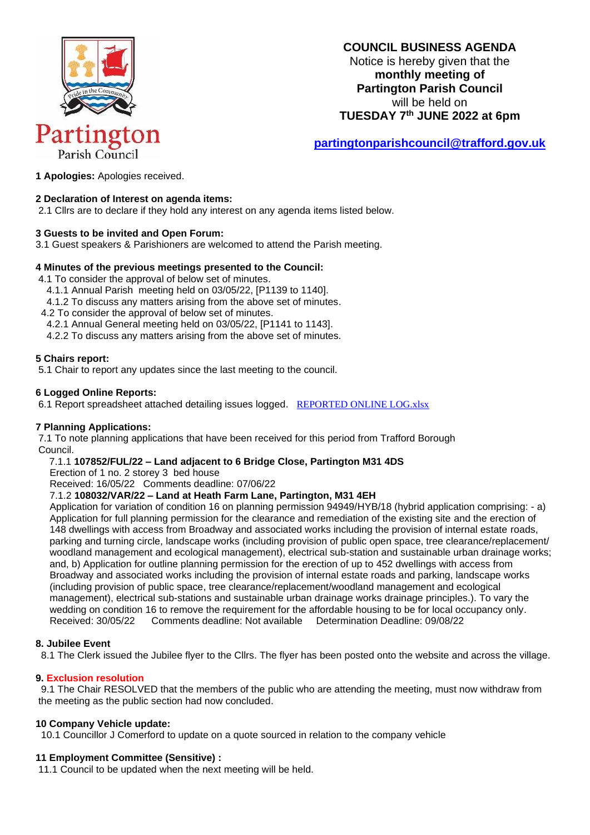

# **COUNCIL BUSINESS AGENDA**

Notice is hereby given that the **monthly meeting of Partington Parish Council**  will be held on **TUESDAY 7 th JUNE 2022 at 6pm**

**[partingtonparishcouncil@trafford.gov.uk](mailto:partingtonparishcouncil@trafford.gov.uk)**

**1 Apologies:** Apologies received.

# **2 Declaration of Interest on agenda items:**

2.1 Cllrs are to declare if they hold any interest on any agenda items listed below.

### **3 Guests to be invited and Open Forum:**

3.1 Guest speakers & Parishioners are welcomed to attend the Parish meeting.

### **4 Minutes of the previous meetings presented to the Council:**

4.1 To consider the approval of below set of minutes.

- 4.1.1 Annual Parish meeting held on 03/05/22, [P1139 to 1140].
- 4.1.2 To discuss any matters arising from the above set of minutes.
- 4.2 To consider the approval of below set of minutes.
- 4.2.1 Annual General meeting held on 03/05/22, [P1141 to 1143].
- 4.2.2 To discuss any matters arising from the above set of minutes.

### **5 Chairs report:**

5.1 Chair to report any updates since the last meeting to the council.

### **6 Logged Online Reports:**

6.1 Report spreadsheet attached detailing issues logged.[REPORTED ONLINE LOG.xlsx](https://1drv.ms/x/s!AtQZeYjGVcvkhts4_q3olJSHfSJslA?e=KZfSqh)

# **7 Planning Applications:**

7.1 To note planning applications that have been received for this period from Trafford Borough Council.

### 7.1.1 **107852/FUL/22 – Land adjacent to 6 Bridge Close, Partington M31 4DS**

Erection of 1 no. 2 storey 3 bed house

Received: 16/05/22 Comments deadline: 07/06/22

#### 7.1.2 **108032/VAR/22 – Land at Heath Farm Lane, Partington, M31 4EH**

Application for variation of condition 16 on planning permission 94949/HYB/18 (hybrid application comprising: - a) Application for full planning permission for the clearance and remediation of the existing site and the erection of 148 dwellings with access from Broadway and associated works including the provision of internal estate roads, parking and turning circle, landscape works (including provision of public open space, tree clearance/replacement/ woodland management and ecological management), electrical sub-station and sustainable urban drainage works; and, b) Application for outline planning permission for the erection of up to 452 dwellings with access from Broadway and associated works including the provision of internal estate roads and parking, landscape works (including provision of public space, tree clearance/replacement/woodland management and ecological management), electrical sub-stations and sustainable urban drainage works drainage principles.). To vary the wedding on condition 16 to remove the requirement for the affordable housing to be for local occupancy only. Received: 30/05/22 Comments deadline: Not available Determination Deadline: 09/08/22

# **8. Jubilee Event**

8.1 The Clerk issued the Jubilee flyer to the Cllrs. The flyer has been posted onto the website and across the village.

# **9. Exclusion resolution**

 9.1 The Chair RESOLVED that the members of the public who are attending the meeting, must now withdraw from the meeting as the public section had now concluded.

# **10 Company Vehicle update:**

10.1 Councillor J Comerford to update on a quote sourced in relation to the company vehicle

# **11 Employment Committee (Sensitive) :**

11.1 Council to be updated when the next meeting will be held.